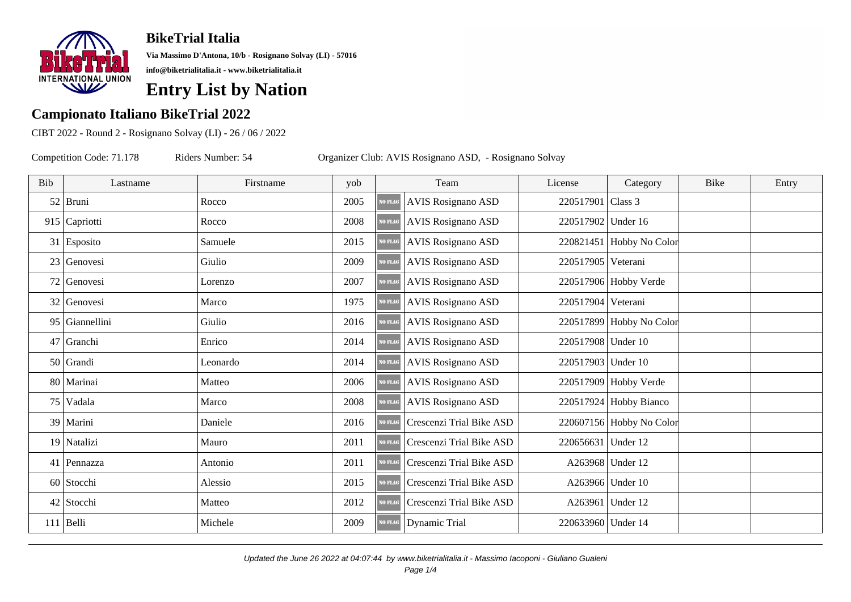

**Via Massimo D'Antona, 10/b - Rosignano Solvay (LI) - 57016 info@biketrialitalia.it - www.biketrialitalia.it**

## **Entry List by Nation**

#### **Campionato Italiano BikeTrial 2022**

CIBT 2022 - Round 2 - Rosignano Solvay (LI) - 26 / 06 / 2022

| Bib | Lastname        | Firstname | yob  |                | Team                      | License      |  |
|-----|-----------------|-----------|------|----------------|---------------------------|--------------|--|
|     | $52$ Bruni      | Rocco     | 2005 | <b>NO FLAG</b> | <b>AVIS Rosignano ASD</b> | 220517901 CI |  |
|     | $915$ Capriotti | Rocco     | 2008 | NO FLAG        | <b>AVIS Rosignano ASD</b> | 220517902 U  |  |
|     | $31$ Esposito   | Samuele   | 2015 | <b>NO FLAG</b> | <b>AVIS Rosignano ASD</b> | 220821451 H  |  |
|     | 23 Genovesi     | Giulio    | 2009 | <b>NO FLAG</b> | <b>AVIS Rosignano ASD</b> | 220517905 V  |  |
| 72  | Genovesi        | Lorenzo   | 2007 | NO FLAG        | <b>AVIS Rosignano ASD</b> | 220517906 H  |  |
| 32  | Genovesi        | Marco     | 1975 | <b>NO FLAG</b> | <b>AVIS Rosignano ASD</b> | 220517904 V  |  |
| 95  | Giannellini     | Giulio    | 2016 | <b>NO FLAG</b> | <b>AVIS Rosignano ASD</b> | 220517899 H  |  |
|     | $47$ Granchi    | Enrico    | 2014 | NO FLAG        | <b>AVIS Rosignano ASD</b> | 220517908 U  |  |
|     | $50$ Grandi     | Leonardo  | 2014 | <b>NO FLAG</b> | <b>AVIS Rosignano ASD</b> | 220517903 U  |  |
|     | 80 Marinai      | Matteo    | 2006 | <b>NO FLAG</b> | <b>AVIS Rosignano ASD</b> | 220517909 H  |  |
|     | $75$ Vadala     | Marco     | 2008 | <b>NO FLAG</b> | <b>AVIS Rosignano ASD</b> | 220517924 H  |  |
|     | 39   Marini     | Daniele   | 2016 | <b>NO FLAG</b> | Crescenzi Trial Bike ASD  | 220607156 H  |  |
|     | 19 Natalizi     | Mauro     | 2011 | <b>NO FLAG</b> | Crescenzi Trial Bike ASD  | 220656631 U  |  |
|     | 41   Pennazza   | Antonio   | 2011 | NO FLAG        | Crescenzi Trial Bike ASD  | A263968 U    |  |
|     | 60 Stocchi      | Alessio   | 2015 | NO FLAG        | Crescenzi Trial Bike ASD  | A263966 U    |  |
|     | 42 Stocchi      | Matteo    | 2012 | <b>NO FLAG</b> | Crescenzi Trial Bike ASD  | A263961 U    |  |
|     | $111$ Belli     | Michele   | 2009 | <b>NO FLAG</b> | Dynamic Trial             | 220633960 U  |  |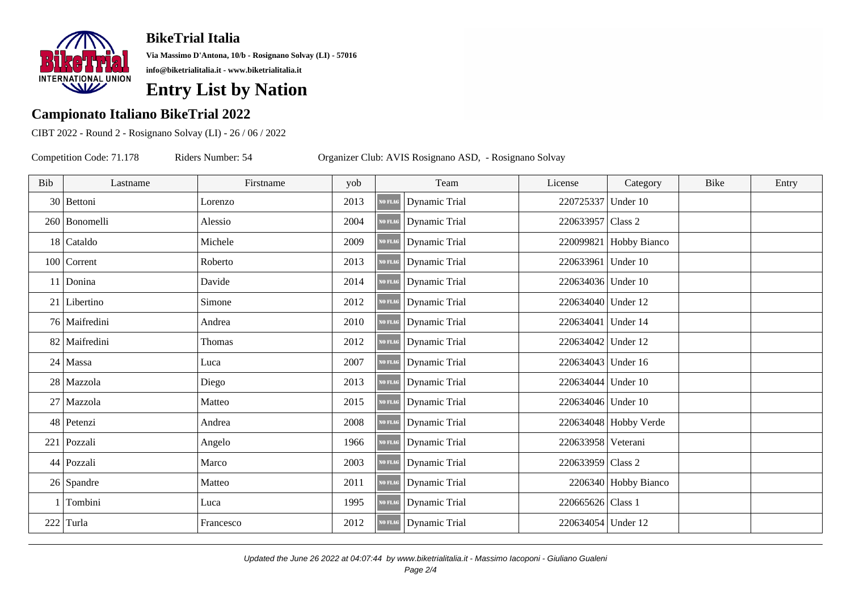

**Via Massimo D'Antona, 10/b - Rosignano Solvay (LI) - 57016 info@biketrialitalia.it - www.biketrialitalia.it**

## **Entry List by Nation**

#### **Campionato Italiano BikeTrial 2022**

CIBT 2022 - Round 2 - Rosignano Solvay (LI) - 26 / 06 / 2022

| Bib | Lastname        | Firstname | yob  |                | Team                 | License       |  |
|-----|-----------------|-----------|------|----------------|----------------------|---------------|--|
|     | 30 Bettoni      | Lorenzo   | 2013 | <b>NO FLAG</b> | Dynamic Trial        | 220725337 U   |  |
|     | 260   Bonomelli | Alessio   | 2004 | <b>NO FLAG</b> | Dynamic Trial        | 220633957 CI  |  |
|     | $18$ Cataldo    | Michele   | 2009 | <b>NO FLAG</b> | Dynamic Trial        | 220099821 H   |  |
|     | $100$ Corrent   | Roberto   | 2013 | <b>NO FLAG</b> | <b>Dynamic Trial</b> | 220633961 U   |  |
|     | 11 Donina       | Davide    | 2014 | <b>NO FLAG</b> | Dynamic Trial        | 220634036 U   |  |
|     | $21$ Libertino  | Simone    | 2012 | <b>NO FLAG</b> | Dynamic Trial        | 220634040 U   |  |
|     | 76 Maifredini   | Andrea    | 2010 | <b>VO FLAG</b> | Dynamic Trial        | 220634041 U   |  |
| 82  | Maifredini      | Thomas    | 2012 | NO FLAG        | Dynamic Trial        | 220634042 U   |  |
| 24  | Massa           | Luca      | 2007 | <b>NO FLAG</b> | <b>Dynamic Trial</b> | 220634043 U   |  |
|     | 28 Mazzola      | Diego     | 2013 | <b>NO FLAG</b> | <b>Dynamic Trial</b> | 220634044 U   |  |
|     | 27 Mazzola      | Matteo    | 2015 | NO FLAG        | Dynamic Trial        | 220634046 U   |  |
|     | 48 Petenzi      | Andrea    | 2008 | <b>NO FLAG</b> | Dynamic Trial        | 220634048 H   |  |
|     | 221 Pozzali     | Angelo    | 1966 | <b>NO FLAG</b> | Dynamic Trial        | 220633958 V   |  |
|     | 44 Pozzali      | Marco     | 2003 | NO FLAG        | Dynamic Trial        | 220633959 CI  |  |
|     | $26$ Spandre    | Matteo    | 2011 | <b>NO FLAG</b> | Dynamic Trial        | $2206340$ H   |  |
|     | 1 Tombini       | Luca      | 1995 | <b>NO FLAG</b> | <b>Dynamic Trial</b> | $220665626$ C |  |
| 222 | Turla           | Francesco | 2012 | <b>NO FLAG</b> | Dynamic Trial        | $220634054$ U |  |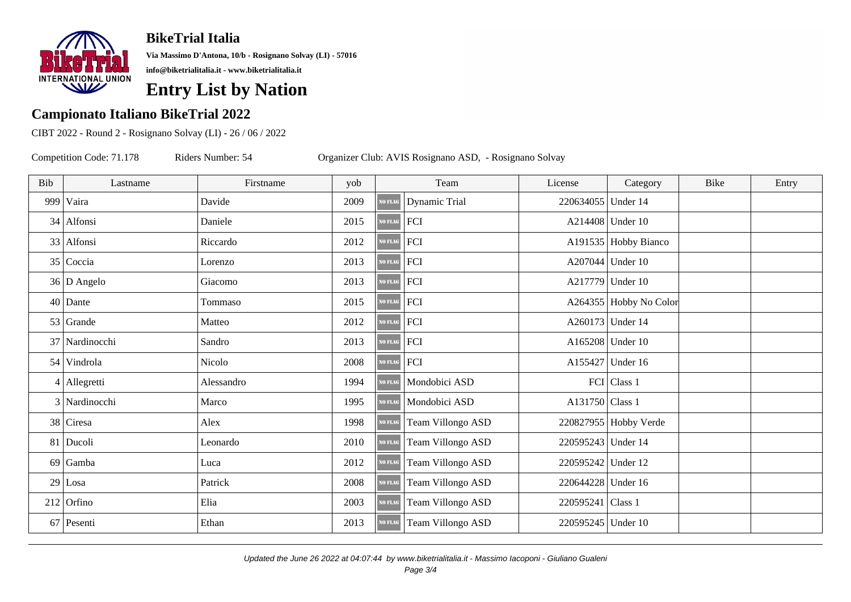

**Via Massimo D'Antona, 10/b - Rosignano Solvay (LI) - 57016 info@biketrialitalia.it - www.biketrialitalia.it**

## **Entry List by Nation**

#### **Campionato Italiano BikeTrial 2022**

CIBT 2022 - Round 2 - Rosignano Solvay (LI) - 26 / 06 / 2022

| Bib | Lastname       | Firstname  | yob  |                | Team              | License       |  |
|-----|----------------|------------|------|----------------|-------------------|---------------|--|
| 999 | Vaira          | Davide     | 2009 | <b>NO FLAG</b> | Dynamic Trial     | $220634055$ U |  |
|     | $34$ Alfonsi   | Daniele    | 2015 | NO FLAG        | FCI               | A214408 U     |  |
|     | 33 Alfonsi     | Riccardo   | 2012 | <b>NO FLAG</b> | FCI               | A191535   H   |  |
| 35  | Coccia         | Lorenzo    | 2013 | <b>NO FLAG</b> | FCI               | A207044 U     |  |
|     | $36 D$ Angelo  | Giacomo    | 2013 | NO FLAG        | FCI               | A217779 U     |  |
| 40  | Dante          | Tommaso    | 2015 | NO FLAG        | FCI               | A264355 H     |  |
| 53  | Grande         | Matteo     | 2012 | <b>NO FLAG</b> | FCI               | A260173 U     |  |
|     | 37 Nardinocchi | Sandro     | 2013 | NO FLAG        | FCI               | A165208 U     |  |
|     | 54 Vindrola    | Nicolo     | 2008 | NO FLAG        | FCI               | A155427 U     |  |
|     | $4$ Allegretti | Alessandro | 1994 | <b>NO FLAG</b> | Mondobici ASD     | FCI C         |  |
|     | 3 Nardinocchi  | Marco      | 1995 | <b>NO FLAG</b> | Mondobici ASD     | A131750 CI    |  |
|     | $38$ Ciresa    | Alex       | 1998 | <b>NO FLAG</b> | Team Villongo ASD | 220827955 H   |  |
|     | 81 Ducoli      | Leonardo   | 2010 | <b>NO FLAG</b> | Team Villongo ASD | 220595243 U   |  |
| 69  | Gamba          | Luca       | 2012 | <b>NO FLAG</b> | Team Villongo ASD | 220595242 U   |  |
|     | $29$ Losa      | Patrick    | 2008 | NO FLAG        | Team Villongo ASD | 220644228 U   |  |
| 212 | Orfino         | Elia       | 2003 | <b>NO FLAG</b> | Team Villongo ASD | 220595241 CI  |  |
|     | $67$ Pesenti   | Ethan      | 2013 | <b>NO FLAG</b> | Team Villongo ASD | 220595245 U   |  |